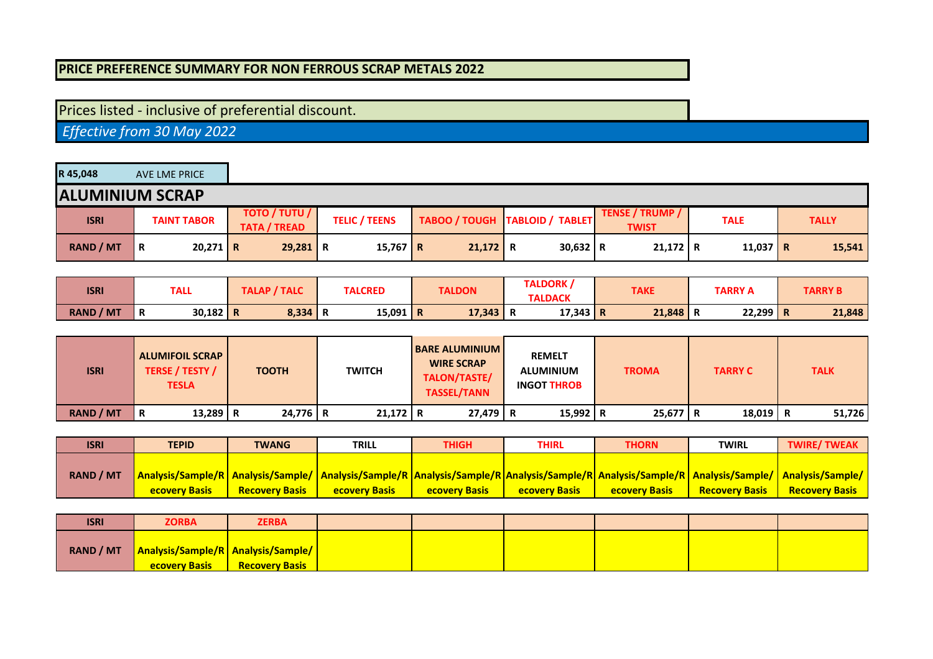## **PRICE PREFERENCE SUMMARY FOR NON FERROUS SCRAP METALS 2022**

## Prices listed - inclusive of preferential discount.

 *Effective from 30 May 2022*

| R 45,048         | AVE LME PRICE          |                                             |                      |            |                                  |                                        |             |              |
|------------------|------------------------|---------------------------------------------|----------------------|------------|----------------------------------|----------------------------------------|-------------|--------------|
|                  | <b>ALUMINIUM SCRAP</b> |                                             |                      |            |                                  |                                        |             |              |
| <b>ISRI</b>      | <b>TAINT TABOR</b>     | <b>TOTO / TUTU /</b><br><b>TATA / TREAD</b> | <b>TELIC / TEENS</b> |            | TABOO / TOUGH   TABLOID / TABLET | <b>TENSE / TRUMP /</b><br><b>TWIST</b> | <b>TALE</b> | <b>TALLY</b> |
| <b>RAND / MT</b> | $20,271$ R<br>΄R       | $29,281$ R                                  | 15,767 R             | $21,172$ R | $30,632$ R                       | $21,172$ R                             | $11,037$ R  | 15,541       |

| <b>ISRI</b>      | TALL            | / TALC<br>TALAP / | <b>TALCRED</b> | <b>TALDON</b>     | <b>TALDORK</b> | <b>TAKE</b> | TARRY A | <b>TARRY B</b> |
|------------------|-----------------|-------------------|----------------|-------------------|----------------|-------------|---------|----------------|
|                  |                 |                   |                |                   | <b>TALDACK</b> |             |         |                |
| <b>RAND / MT</b> | $30,182$ R<br>R | $8,334$ R         | 15,091         | $17,343$ R<br>l R | $17,343$ R     | 21,848      | 22,299  | 21,848<br>n    |

| <b>ISRI</b>      | <b>ALUMIFOIL SCRAP</b><br><b>TERSE / TESTY /</b><br><b>TESLA</b> | <b>TOOTH</b> | <b>TWITCH</b> | <b>BARE ALUMINIUM</b><br><b>WIRE SCRAP</b><br>TALON/TASTE/<br><b>TASSEL/TANN</b> | <b>REMELT</b><br><b>ALUMINIUM</b><br><b>INGOT THROB</b> | <b>TROMA</b> | <b>TARRY C</b> | <b>TALK</b> |
|------------------|------------------------------------------------------------------|--------------|---------------|----------------------------------------------------------------------------------|---------------------------------------------------------|--------------|----------------|-------------|
| <b>RAND / MT</b> | $13,289$ R<br>R                                                  | $24,776$ R   | $21,172$ R    | $27,479$ R                                                                       | 15,992   R                                              | $25,677$ R   | $18,019$ R     | 51,726      |

| <b>ISRI</b>      | <b>TEPID</b>         | <b>TWANG</b>          | <b>TRILL</b>                                                                                                                                                                  | <b>THIGH</b>          | THIRL                | THORN                | <b>TWIRL</b>          | <b>TWIRE/TWEAK</b>    |
|------------------|----------------------|-----------------------|-------------------------------------------------------------------------------------------------------------------------------------------------------------------------------|-----------------------|----------------------|----------------------|-----------------------|-----------------------|
|                  |                      |                       |                                                                                                                                                                               |                       |                      |                      |                       |                       |
| <b>RAND / MT</b> |                      |                       | Analysis/Sample/R   Analysis/Sample/   Analysis/Sample/R   Analysis/Sample/R   Analysis/Sample/R   Analysis/Sample/R   Analysis/Sample/   Analysis/Sample/   Analysis/Sample/ |                       |                      |                      |                       |                       |
|                  | <b>ecovery Basis</b> | <b>Recovery Basis</b> | <b>ecovery Basis</b>                                                                                                                                                          | <b>Recovery Basis</b> | <b>ecovery Basis</b> | <b>ecovery Basis</b> | <b>Recovery Basis</b> | <b>Recovery Basis</b> |

| <b>ISRI</b>      | <b>ZORBA</b>                                                          | <b>ZERBA</b>          |  |  |  |
|------------------|-----------------------------------------------------------------------|-----------------------|--|--|--|
| <b>RAND / MT</b> | <b>Analysis/Sample/R   Analysis/Sample/  </b><br><b>ecovery Basis</b> | <b>Recovery Basis</b> |  |  |  |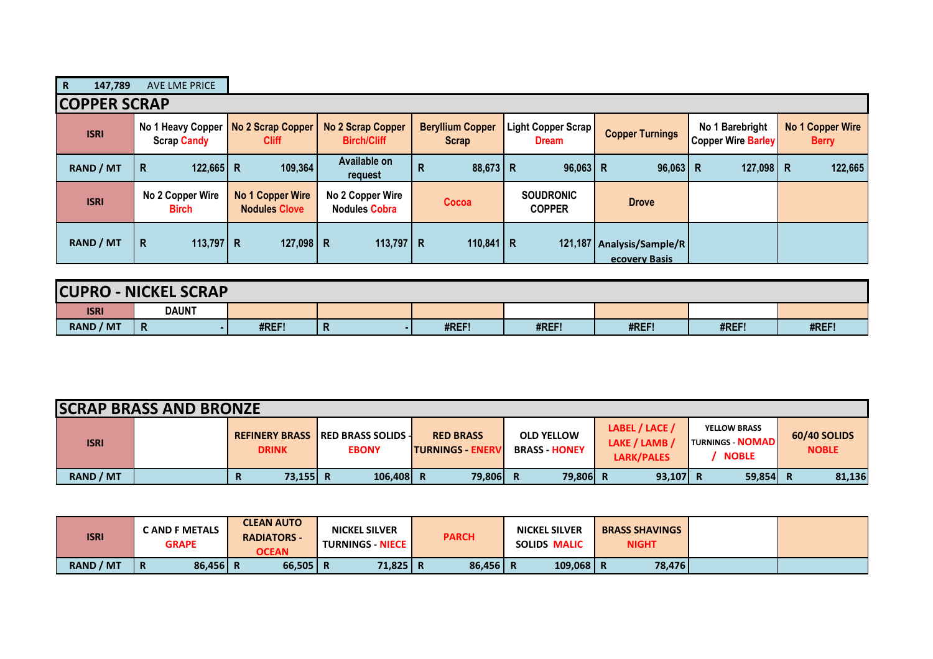| $\mathbf R$<br>147,789 | <b>AVE LME PRICE</b>                    |                                          |                                                |                                         |                                    |                                            |                                              |                                         |
|------------------------|-----------------------------------------|------------------------------------------|------------------------------------------------|-----------------------------------------|------------------------------------|--------------------------------------------|----------------------------------------------|-----------------------------------------|
| <b>ICOPPER SCRAP</b>   |                                         |                                          |                                                |                                         |                                    |                                            |                                              |                                         |
| <b>ISRI</b>            | No 1 Heavy Copper<br><b>Scrap Candy</b> | No 2 Scrap Copper<br><b>Cliff</b>        | <b>No 2 Scrap Copper</b><br><b>Birch/Cliff</b> | <b>Beryllium Copper</b><br><b>Scrap</b> | Light Copper Scrap<br><b>Dream</b> | <b>Copper Turnings</b>                     | No 1 Barebright<br><b>Copper Wire Barley</b> | <b>No 1 Copper Wire</b><br><b>Berry</b> |
| RAND / MT              | $122,665$ R<br>R.                       | 109,364                                  | Available on<br>request                        | $88,673$ R<br>R                         | $96,063$ R                         | $96,063$ R                                 | 127,098 R                                    | 122,665                                 |
| <b>ISRI</b>            | No 2 Copper Wire<br><b>Birch</b>        | No 1 Copper Wire<br><b>Nodules Clove</b> | No 2 Copper Wire<br><b>Nodules Cobra</b>       | Cocoa                                   | <b>SOUDRONIC</b><br><b>COPPER</b>  | <b>Drove</b>                               |                                              |                                         |
| <b>RAND / MT</b>       | 113,797 R<br>R.                         | 127,098   R                              | 113,797   R                                    | 110,841   R                             |                                    | 121,187 Analysis/Sample/R<br>ecovery Basis |                                              |                                         |

| <b>CUPRO</b>     | <b>J-NICKEL SCRAP</b> |       |   |       |       |       |       |       |  |  |
|------------------|-----------------------|-------|---|-------|-------|-------|-------|-------|--|--|
| <b>ISRI</b>      | <b>DAUNT</b>          |       |   |       |       |       |       |       |  |  |
| <b>RAND / MT</b> | R                     | #REF! | n | #REF! | #REF! | #REF! | #REF! | #REF! |  |  |

| <b>SCRAP BRASS AND BRONZE</b> |  |               |                                                           |                                              |                                           |                                               |                                                                |                              |
|-------------------------------|--|---------------|-----------------------------------------------------------|----------------------------------------------|-------------------------------------------|-----------------------------------------------|----------------------------------------------------------------|------------------------------|
| <b>ISRI</b>                   |  | <b>DRINK</b>  | <b>REFINERY BRASS IRED BRASS SOLIDS -</b><br><b>EBONY</b> | <b>RED BRASS</b><br><b>ITURNINGS - ENERV</b> | <b>OLD YELLOW</b><br><b>BRASS - HONEY</b> | LABEL / LACE /<br>LAKE / LAMB /<br>LARK/PALES | <b>YELLOW BRASS</b><br><b>TURNINGS - NOMAD</b><br><b>NOBLE</b> | 60/40 SOLIDS<br><b>NOBLE</b> |
| <b>RAND / MT</b>              |  | 73.155 R<br>R | 106.408 R                                                 | 79,806 R                                     | 79,806 R                                  | $93,107$ R                                    | $59,854$ R                                                     | 81,136                       |

| <b>ISRI</b>      | <b>CAND F METALS</b><br><b>GRAPE</b> | <b>CLEAN AUTO</b><br><b>RADIATORS -</b><br><b>OCEAN</b> | <b>NICKEL SILVER</b><br><b>TURNINGS - NIECE  </b> | <b>PARCH</b> | <b>NICKEL SILVER</b><br>SOLIDS MALIC | <b>BRASS SHAVINGS</b><br><b>NIGHT</b> |  |
|------------------|--------------------------------------|---------------------------------------------------------|---------------------------------------------------|--------------|--------------------------------------|---------------------------------------|--|
| <b>RAND / MT</b> | 86,456 R<br>Ð<br>n                   | $66,505$ R                                              | 71,825 R                                          | 86,456       | $109,068$   R                        | 78,476                                |  |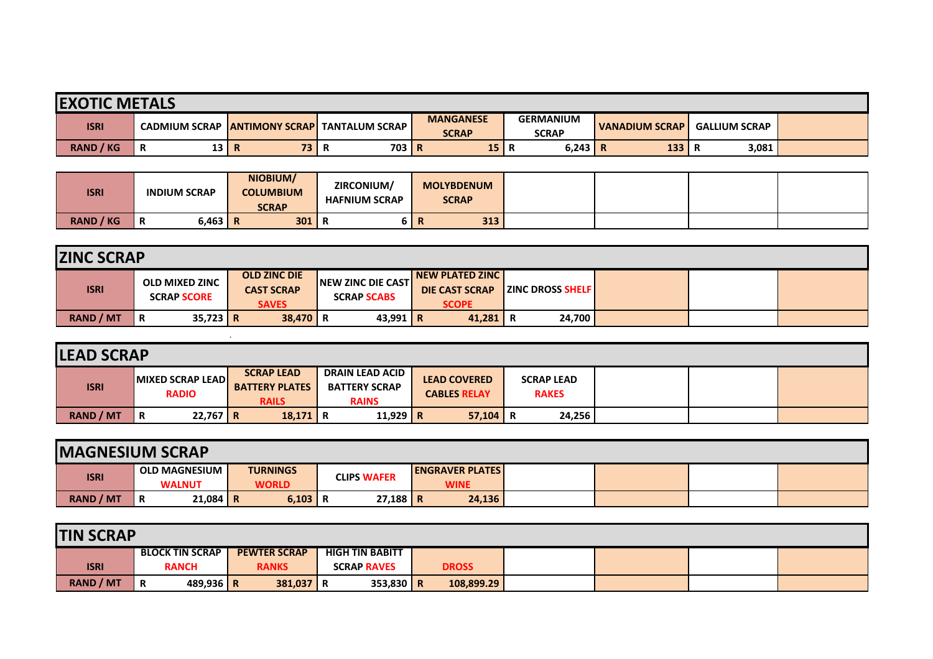| <b>EXOTIC METALS</b> |                      |                         |                         |                                  |                                  |                       |                      |  |  |
|----------------------|----------------------|-------------------------|-------------------------|----------------------------------|----------------------------------|-----------------------|----------------------|--|--|
| <b>ISRI</b>          | <b>CADMIUM SCRAP</b> | <b>IANTIMONY SCRAPI</b> | <b>TANTALUM SCRAP I</b> | <b>MANGANESE</b><br><b>SCRAP</b> | <b>GERMANIUM</b><br><b>SCRAP</b> | <b>VANADIUM SCRAP</b> | <b>GALLIUM SCRAP</b> |  |  |
| <b>RAND / KG</b>     | 13 R<br>Ð<br>R       | 73 I                    | 703 R<br>n              | 15                               | 6,243                            | 133<br>ĸ              | 3,081                |  |  |

| <b>ISRI</b>      | <b>INDIUM SCRAP</b> | NIOBIUM/<br><b>COLUMBIUM</b><br><b>SCRAP</b> | ZIRCONIUM/<br><b>HAFNIUM SCRAP</b> | <b>MOLYBDENUM</b><br><b>SCRAP</b> |  |  |
|------------------|---------------------|----------------------------------------------|------------------------------------|-----------------------------------|--|--|
| <b>RAND / KG</b> | $6,463$ R<br>n      | 301                                          | . .                                | 313                               |  |  |

| <b>ZINC SCRAP</b> |                                             |                                                          |                                                  |                                                          |                         |  |  |  |  |
|-------------------|---------------------------------------------|----------------------------------------------------------|--------------------------------------------------|----------------------------------------------------------|-------------------------|--|--|--|--|
| <b>ISRI</b>       | <b>OLD MIXED ZINC</b><br><b>SCRAP SCORE</b> | <b>OLD ZINC DIE</b><br><b>CAST SCRAP</b><br><b>SAVES</b> | <b>INEW ZINC DIE CASTI</b><br><b>SCRAP SCABS</b> | NEW PLATED ZINC<br><b>DIE CAST SCRAP</b><br><b>SCOPE</b> | <b>ZINC DROSS SHELF</b> |  |  |  |  |
| <b>RAND / MT</b>  | $35,723$ R<br>R                             | $38,470$ R                                               | 43,991 R                                         | 41,281                                                   | 24,700                  |  |  |  |  |

| <b>LEAD SCRAP</b> |                                  |                                                            |                                                                |                                            |                                   |  |  |  |  |  |  |
|-------------------|----------------------------------|------------------------------------------------------------|----------------------------------------------------------------|--------------------------------------------|-----------------------------------|--|--|--|--|--|--|
| <b>ISRI</b>       | MIXED SCRAP LEAD<br><b>RADIO</b> | <b>SCRAP LEAD</b><br><b>BATTERY PLATES</b><br><b>RAILS</b> | <b>DRAIN LEAD ACID</b><br><b>BATTERY SCRAP</b><br><b>RAINS</b> | <b>LEAD COVERED</b><br><b>CABLES RELAY</b> | <b>SCRAP LEAD</b><br><b>RAKES</b> |  |  |  |  |  |  |
| RAND / MT         | $22,767$ R<br>R                  | $18,171$ R                                                 | 11,929 R                                                       | 57,104                                     | 24,256<br>R                       |  |  |  |  |  |  |

| <b>IMAGNESIUM SCRAP</b> |                                       |                                 |                    |                                       |  |  |  |  |  |  |
|-------------------------|---------------------------------------|---------------------------------|--------------------|---------------------------------------|--|--|--|--|--|--|
| <b>ISRI</b>             | <b>OLD MAGNESIUM</b><br><b>WALNUT</b> | <b>TURNINGS</b><br><b>WORLD</b> | <b>CLIPS WAFER</b> | <b>ENGRAVER PLATES</b><br><b>WINE</b> |  |  |  |  |  |  |
|                         |                                       |                                 |                    |                                       |  |  |  |  |  |  |
| <b>RAND / MT</b>        | $21,084$ R<br>Ð<br>R                  | $6,103$ R                       | $27,188$ R         | 24,136                                |  |  |  |  |  |  |

| <b>TIN SCRAP</b> |                  |   |                        |  |                     |                        |  |              |  |  |  |
|------------------|------------------|---|------------------------|--|---------------------|------------------------|--|--------------|--|--|--|
|                  |                  |   | <b>BLOCK TIN SCRAP</b> |  | <b>PEWTER SCRAP</b> | <b>HIGH TIN BABITT</b> |  |              |  |  |  |
|                  | <b>ISRI</b>      |   | <b>RANCH</b>           |  | <b>RANKS</b>        | <b>SCRAP RAVES</b>     |  | <b>DROSS</b> |  |  |  |
|                  | <b>RAND / MT</b> | R | 489,936   R            |  | 381,037 R           | 353,830 R              |  | 108,899.29   |  |  |  |